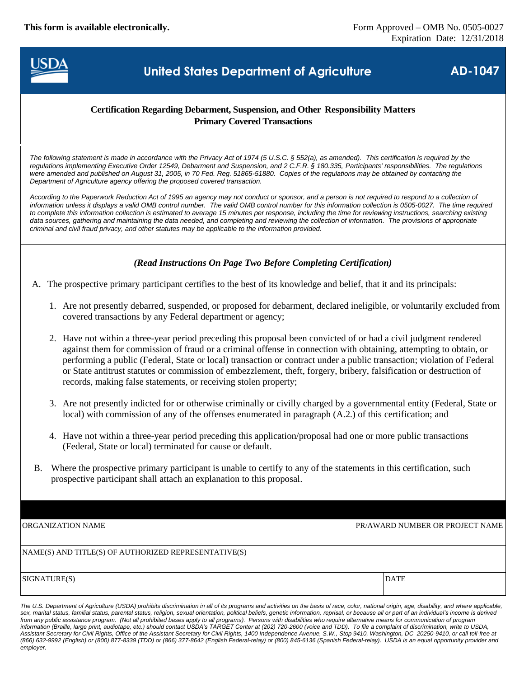**This form is available electronically.** Form Approved – OMB No. 0505-0027



# **United States Department of Agriculture AD-1047**

#### **Certification Regarding Debarment, Suspension, and Other Responsibility Matters Primary Covered Transactions**

*The following statement is made in accordance with the Privacy Act of 1974 (5 U.S.C. § 552(a), as amended). This certification is required by the regulations implementing Executive Order 12549, Debarment and Suspension, and 2 C.F.R. § 180.335, Participants' responsibilities. The regulations were amended and published on August 31, 2005, in 70 Fed. Reg. 51865-51880. Copies of the regulations may be obtained by contacting the Department of Agriculture agency offering the proposed covered transaction.*

According to the Paperwork Reduction Act of 1995 an agency may not conduct or sponsor, and a person is not required to respond to a collection of *information unless it displays a valid OMB control number. The valid OMB control number for this information collection is 0505-0027. The time required to complete this information collection is estimated to average 15 minutes per response, including the time for reviewing instructions, searching existing*  data sources, gathering and maintaining the data needed, and completing and reviewing the collection of information. The provisions of appropriate *criminal and civil fraud privacy, and other statutes may be applicable to the information provided.*

### *(Read Instructions On Page Two Before Completing Certification)*

A. The prospective primary participant certifies to the best of its knowledge and belief, that it and its principals:

- 1. Are not presently debarred, suspended, or proposed for debarment, declared ineligible, or voluntarily excluded from covered transactions by any Federal department or agency;
- 2. Have not within a three-year period preceding this proposal been convicted of or had a civil judgment rendered against them for commission of fraud or a criminal offense in connection with obtaining, attempting to obtain, or performing a public (Federal, State or local) transaction or contract under a public transaction; violation of Federal or State antitrust statutes or commission of embezzlement, theft, forgery, bribery, falsification or destruction of records, making false statements, or receiving stolen property;
- 3. Are not presently indicted for or otherwise criminally or civilly charged by a governmental entity (Federal, State or local) with commission of any of the offenses enumerated in paragraph (A.2.) of this certification; and
- 4. Have not within a three-year period preceding this application/proposal had one or more public transactions (Federal, State or local) terminated for cause or default.
- B. Where the prospective primary participant is unable to certify to any of the statements in this certification, such prospective participant shall attach an explanation to this proposal.

ORGANIZATION NAME PR/AWARD NUMBER OR PROJECT NAME

SIGNATURE(S) DATE

The U.S. Department of Agriculture (USDA) prohibits discrimination in all of its programs and activities on the basis of race, color, national origin, age, disability, and where applicable, sex, marital status, familial status, parental status, religion, sexual orientation, political beliefs, genetic information, reprisal, or because all or part of an individual's income is derived *from any public assistance program. (Not all prohibited bases apply to all programs). Persons with disabilities who require alternative means for communication of program information (Braille, large print, audiotape, etc.) should contact USDA's TARGET Center at (202) 720-2600 (voice and TDD). To file a complaint of discrimination, write to USDA, Assistant Secretary for Civil Rights, Office of the Assistant Secretary for Civil Rights, 1400 Independence Avenue, S.W., Stop 9410, Washington, DC 20250-9410, or call toll-free at (866) 632-9992 (English) or (800) 877-8339 (TDD) or (866) 377-8642 (English Federal-relay) or (800) 845-6136 (Spanish Federal-relay). USDA is an equal opportunity provider and employer.*